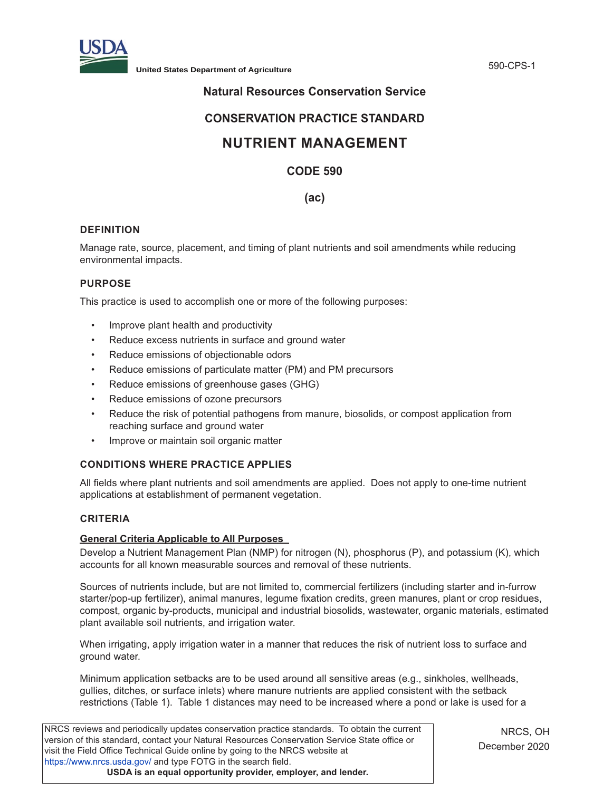

**United States Department of Agriculture** 590-CPS-1

# **Natural Resources Conservation Service**

# **CONSERVATION PRACTICE STANDARD**

# **NUTRIENT MANAGEMENT**

# **CODE 590**

# **(ac)**

# **DEFINITION**

Manage rate, source, placement, and timing of plant nutrients and soil amendments while reducing environmental impacts.

## **PURPOSE**

This practice is used to accomplish one or more of the following purposes:

- Improve plant health and productivity
- Reduce excess nutrients in surface and ground water
- Reduce emissions of objectionable odors
- Reduce emissions of particulate matter (PM) and PM precursors
- Reduce emissions of greenhouse gases (GHG)
- Reduce emissions of ozone precursors
- Reduce the risk of potential pathogens from manure, biosolids, or compost application from reaching surface and ground water
- Improve or maintain soil organic matter

# **CONDITIONS WHERE PRACTICE APPLIES**

All fields where plant nutrients and soil amendments are applied. Does not apply to one-time nutrient applications at establishment of permanent vegetation.

# **CRITERIA**

#### **General Criteria Applicable to All Purposes**

Develop a Nutrient Management Plan (NMP) for nitrogen (N), phosphorus (P), and potassium (K), which accounts for all known measurable sources and removal of these nutrients.

Sources of nutrients include, but are not limited to, commercial fertilizers (including starter and in-furrow starter/pop-up fertilizer), animal manures, legume fixation credits, green manures, plant or crop residues, compost, organic by-products, municipal and industrial biosolids, wastewater, organic materials, estimated plant available soil nutrients, and irrigation water.

When irrigating, apply irrigation water in a manner that reduces the risk of nutrient loss to surface and ground water.

Minimum application setbacks are to be used around all sensitive areas (e.g., sinkholes, wellheads, gullies, ditches, or surface inlets) where manure nutrients are applied consistent with the setback restrictions (Table 1). Table 1 distances may need to be increased where a pond or lake is used for a

NRCS reviews and periodically updates conservation practice standards. To obtain the current version of this standard, contact your Natural Resources Conservation Service State office or visit the Field Office Technical Guide online by going to the NRCS website at https://www.nrcs.usda.gov/ and type FOTG in the search field. **USDA is an equal opportunity provider, employer, and lender.**

NRCS, OH December 2020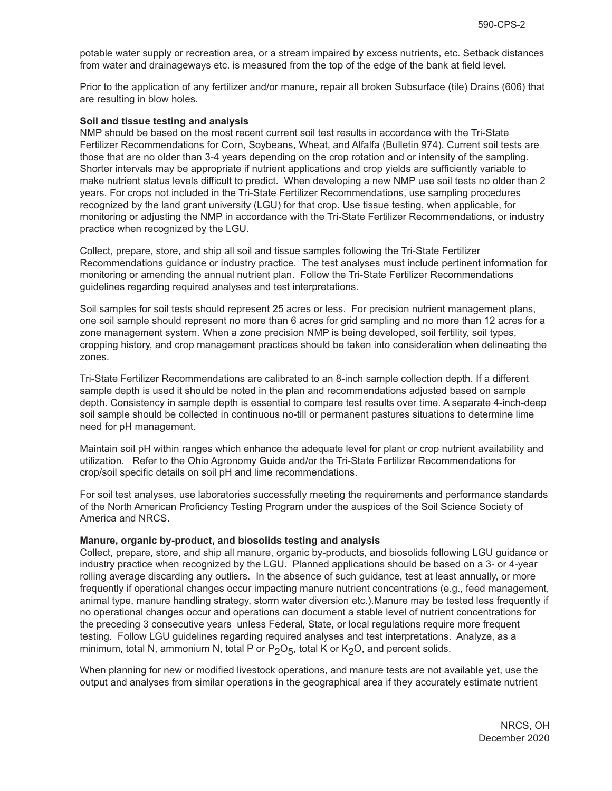potable water supply or recreation area, or a stream impaired by excess nutrients, etc. Setback distances from water and drainageways etc. is measured from the top of the edge of the bank at field level.

Prior to the application of any fertilizer and/or manure, repair all broken Subsurface (tile) Drains (606) that are resulting in blow holes.

#### **Soil and tissue testing and analysis**

NMP should be based on the most recent current soil test results in accordance with the Tri-State Fertilizer Recommendations for Corn, Soybeans, Wheat, and Alfalfa (Bulletin 974). Current soil tests are those that are no older than 3-4 years depending on the crop rotation and or intensity of the sampling. Shorter intervals may be appropriate if nutrient applications and crop yields are sufficiently variable to make nutrient status levels difficult to predict. When developing a new NMP use soil tests no older than 2 years. For crops not included in the Tri-State Fertilizer Recommendations, use sampling procedures recognized by the land grant university (LGU) for that crop. Use tissue testing, when applicable, for monitoring or adjusting the NMP in accordance with the Tri-State Fertilizer Recommendations, or industry practice when recognized by the LGU.

Collect, prepare, store, and ship all soil and tissue samples following the Tri-State Fertilizer Recommendations guidance or industry practice. The test analyses must include pertinent information for monitoring or amending the annual nutrient plan. Follow the Tri-State Fertilizer Recommendations guidelines regarding required analyses and test interpretations.

Soil samples for soil tests should represent 25 acres or less. For precision nutrient management plans, one soil sample should represent no more than 6 acres for grid sampling and no more than 12 acres for a zone management system. When a zone precision NMP is being developed, soil fertility, soil types, cropping history, and crop management practices should be taken into consideration when delineating the zones.

Tri-State Fertilizer Recommendations are calibrated to an 8-inch sample collection depth. If a different sample depth is used it should be noted in the plan and recommendations adjusted based on sample depth. Consistency in sample depth is essential to compare test results over time. A separate 4-inch-deep soil sample should be collected in continuous no-till or permanent pastures situations to determine lime need for pH management.

Maintain soil pH within ranges which enhance the adequate level for plant or crop nutrient availability and utilization. Refer to the Ohio Agronomy Guide and/or the Tri-State Fertilizer Recommendations for crop/soil specific details on soil pH and lime recommendations.

For soil test analyses, use laboratories successfully meeting the requirements and performance standards of the North American Proficiency Testing Program under the auspices of the Soil Science Society of America and NRCS.

#### **Manure, organic by-product, and biosolids testing and analysis**

Collect, prepare, store, and ship all manure, organic by-products, and biosolids following LGU guidance or industry practice when recognized by the LGU. Planned applications should be based on a 3- or 4-year rolling average discarding any outliers. In the absence of such guidance, test at least annually, or more frequently if operational changes occur impacting manure nutrient concentrations (e.g., feed management, animal type, manure handling strategy, storm water diversion etc.).Manure may be tested less frequently if no operational changes occur and operations can document a stable level of nutrient concentrations for the preceding 3 consecutive years unless Federal, State, or local regulations require more frequent testing. Follow LGU guidelines regarding required analyses and test interpretations. Analyze, as a minimum, total N, ammonium N, total P or  $P_2O_5$ , total K or K<sub>2</sub>O, and percent solids.

When planning for new or modified livestock operations, and manure tests are not available yet, use the output and analyses from similar operations in the geographical area if they accurately estimate nutrient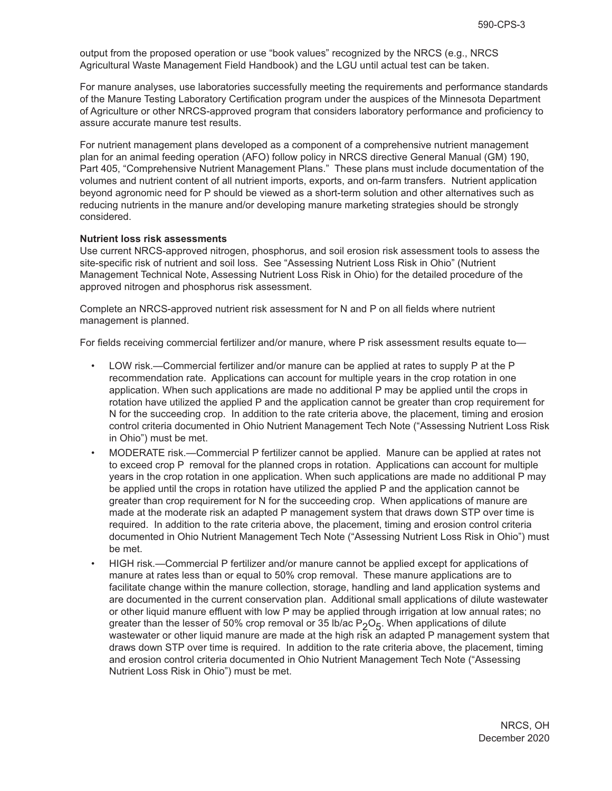output from the proposed operation or use "book values" recognized by the NRCS (e.g., NRCS Agricultural Waste Management Field Handbook) and the LGU until actual test can be taken.

For manure analyses, use laboratories successfully meeting the requirements and performance standards of the Manure Testing Laboratory Certification program under the auspices of the Minnesota Department of Agriculture or other NRCS-approved program that considers laboratory performance and proficiency to assure accurate manure test results.

For nutrient management plans developed as a component of a comprehensive nutrient management plan for an animal feeding operation (AFO) follow policy in NRCS directive General Manual (GM) 190, Part 405, "Comprehensive Nutrient Management Plans." These plans must include documentation of the volumes and nutrient content of all nutrient imports, exports, and on-farm transfers. Nutrient application beyond agronomic need for P should be viewed as a short-term solution and other alternatives such as reducing nutrients in the manure and/or developing manure marketing strategies should be strongly considered.

#### **Nutrient loss risk assessments**

Use current NRCS-approved nitrogen, phosphorus, and soil erosion risk assessment tools to assess the site-specific risk of nutrient and soil loss. See "Assessing Nutrient Loss Risk in Ohio" (Nutrient Management Technical Note, Assessing Nutrient Loss Risk in Ohio) for the detailed procedure of the approved nitrogen and phosphorus risk assessment.

Complete an NRCS-approved nutrient risk assessment for N and P on all fields where nutrient management is planned.

For fields receiving commercial fertilizer and/or manure, where P risk assessment results equate to-

- LOW risk.—Commercial fertilizer and/or manure can be applied at rates to supply P at the P recommendation rate. Applications can account for multiple years in the crop rotation in one application. When such applications are made no additional P may be applied until the crops in rotation have utilized the applied P and the application cannot be greater than crop requirement for N for the succeeding crop. In addition to the rate criteria above, the placement, timing and erosion control criteria documented in Ohio Nutrient Management Tech Note ("Assessing Nutrient Loss Risk in Ohio") must be met.
- MODERATE risk.—Commercial P fertilizer cannot be applied. Manure can be applied at rates not to exceed crop P removal for the planned crops in rotation. Applications can account for multiple years in the crop rotation in one application. When such applications are made no additional P may be applied until the crops in rotation have utilized the applied P and the application cannot be greater than crop requirement for N for the succeeding crop. When applications of manure are made at the moderate risk an adapted P management system that draws down STP over time is required. In addition to the rate criteria above, the placement, timing and erosion control criteria documented in Ohio Nutrient Management Tech Note ("Assessing Nutrient Loss Risk in Ohio") must be met.
- HIGH risk.—Commercial P fertilizer and/or manure cannot be applied except for applications of manure at rates less than or equal to 50% crop removal. These manure applications are to facilitate change within the manure collection, storage, handling and land application systems and are documented in the current conservation plan. Additional small applications of dilute wastewater or other liquid manure effluent with low P may be applied through irrigation at low annual rates; no greater than the lesser of 50% crop removal or 35 lb/ac  $P_2O_5$ . When applications of dilute wastewater or other liquid manure are made at the high risk an adapted P management system that draws down STP over time is required. In addition to the rate criteria above, the placement, timing and erosion control criteria documented in Ohio Nutrient Management Tech Note ("Assessing Nutrient Loss Risk in Ohio") must be met.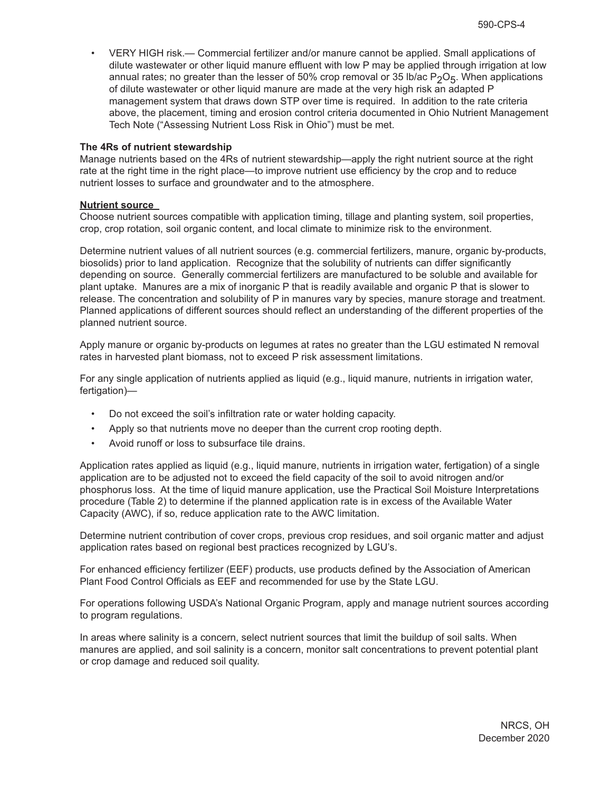• VERY HIGH risk.— Commercial fertilizer and/or manure cannot be applied. Small applications of dilute wastewater or other liquid manure effluent with low P may be applied through irrigation at low annual rates; no greater than the lesser of 50% crop removal or 35 lb/ac  $P_2O_5$ . When applications of dilute wastewater or other liquid manure are made at the very high risk an adapted P management system that draws down STP over time is required. In addition to the rate criteria above, the placement, timing and erosion control criteria documented in Ohio Nutrient Management Tech Note ("Assessing Nutrient Loss Risk in Ohio") must be met.

#### **The 4Rs of nutrient stewardship**

Manage nutrients based on the 4Rs of nutrient stewardship—apply the right nutrient source at the right rate at the right time in the right place—to improve nutrient use efficiency by the crop and to reduce nutrient losses to surface and groundwater and to the atmosphere.

## **Nutrient source**

Choose nutrient sources compatible with application timing, tillage and planting system, soil properties, crop, crop rotation, soil organic content, and local climate to minimize risk to the environment.

Determine nutrient values of all nutrient sources (e.g. commercial fertilizers, manure, organic by-products, biosolids) prior to land application. Recognize that the solubility of nutrients can differ significantly depending on source. Generally commercial fertilizers are manufactured to be soluble and available for plant uptake. Manures are a mix of inorganic P that is readily available and organic P that is slower to release. The concentration and solubility of P in manures vary by species, manure storage and treatment. Planned applications of different sources should reflect an understanding of the different properties of the planned nutrient source.

Apply manure or organic by-products on legumes at rates no greater than the LGU estimated N removal rates in harvested plant biomass, not to exceed P risk assessment limitations.

For any single application of nutrients applied as liquid (e.g., liquid manure, nutrients in irrigation water, fertigation)—

- Do not exceed the soil's infiltration rate or water holding capacity.
- Apply so that nutrients move no deeper than the current crop rooting depth.
- Avoid runoff or loss to subsurface tile drains.

Application rates applied as liquid (e.g., liquid manure, nutrients in irrigation water, fertigation) of a single application are to be adjusted not to exceed the field capacity of the soil to avoid nitrogen and/or phosphorus loss. At the time of liquid manure application, use the Practical Soil Moisture Interpretations procedure (Table 2) to determine if the planned application rate is in excess of the Available Water Capacity (AWC), if so, reduce application rate to the AWC limitation.

Determine nutrient contribution of cover crops, previous crop residues, and soil organic matter and adjust application rates based on regional best practices recognized by LGU's.

For enhanced efficiency fertilizer (EEF) products, use products defined by the Association of American Plant Food Control Officials as EEF and recommended for use by the State LGU.

For operations following USDA's National Organic Program, apply and manage nutrient sources according to program regulations.

In areas where salinity is a concern, select nutrient sources that limit the buildup of soil salts. When manures are applied, and soil salinity is a concern, monitor salt concentrations to prevent potential plant or crop damage and reduced soil quality.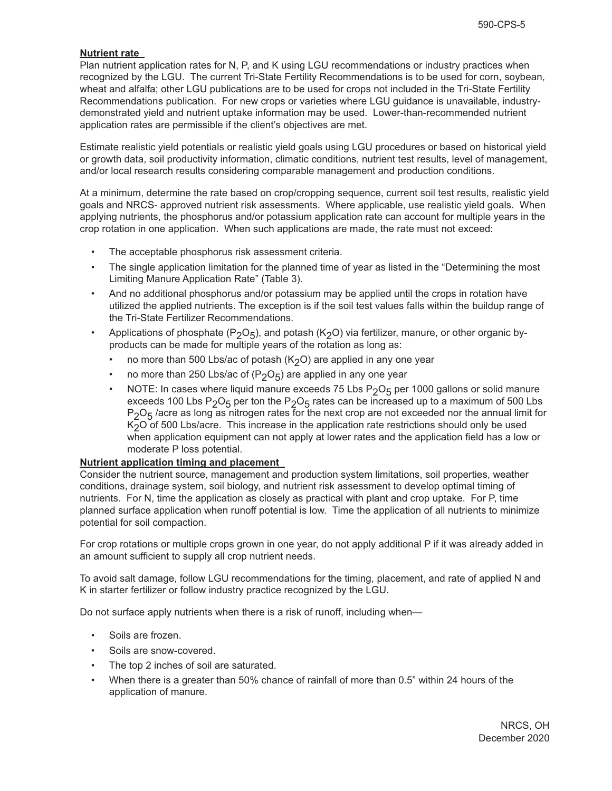## **Nutrient rate**

Plan nutrient application rates for N, P, and K using LGU recommendations or industry practices when recognized by the LGU. The current Tri-State Fertility Recommendations is to be used for corn, soybean, wheat and alfalfa; other LGU publications are to be used for crops not included in the Tri-State Fertility Recommendations publication. For new crops or varieties where LGU guidance is unavailable, industrydemonstrated yield and nutrient uptake information may be used. Lower-than-recommended nutrient application rates are permissible if the client's objectives are met.

Estimate realistic yield potentials or realistic yield goals using LGU procedures or based on historical yield or growth data, soil productivity information, climatic conditions, nutrient test results, level of management, and/or local research results considering comparable management and production conditions.

At a minimum, determine the rate based on crop/cropping sequence, current soil test results, realistic yield goals and NRCS- approved nutrient risk assessments. Where applicable, use realistic yield goals. When applying nutrients, the phosphorus and/or potassium application rate can account for multiple years in the crop rotation in one application. When such applications are made, the rate must not exceed:

- The acceptable phosphorus risk assessment criteria.
- The single application limitation for the planned time of year as listed in the "Determining the most Limiting Manure Application Rate" (Table 3).
- And no additional phosphorus and/or potassium may be applied until the crops in rotation have utilized the applied nutrients. The exception is if the soil test values falls within the buildup range of the Tri-State Fertilizer Recommendations.
- Applications of phosphate (P<sub>2</sub>O<sub>5</sub>), and potash (K<sub>2</sub>O) via fertilizer, manure, or other organic byproducts can be made for multiple years of the rotation as long as:
	- no more than 500 Lbs/ac of potash ( $K<sub>2</sub>O$ ) are applied in any one year
	- no more than 250 Lbs/ac of  $(P_2O_5)$  are applied in any one year
	- NOTE: In cases where liquid manure exceeds 75 Lbs  $P_2O_5$  per 1000 gallons or solid manure exceeds 100 Lbs  $P_2O_5$  per ton the  $P_2O_5$  rates can be increased up to a maximum of 500 Lbs  $P_2O_5$  /acre as long as nitrogen rates for the next crop are not exceeded nor the annual limit for  $K<sub>2</sub>O$  of 500 Lbs/acre. This increase in the application rate restrictions should only be used when application equipment can not apply at lower rates and the application field has a low or moderate P loss potential.

# **Nutrient application timing and placement**

Consider the nutrient source, management and production system limitations, soil properties, weather conditions, drainage system, soil biology, and nutrient risk assessment to develop optimal timing of nutrients. For N, time the application as closely as practical with plant and crop uptake. For P, time planned surface application when runoff potential is low. Time the application of all nutrients to minimize potential for soil compaction.

For crop rotations or multiple crops grown in one year, do not apply additional P if it was already added in an amount sufficient to supply all crop nutrient needs.

To avoid salt damage, follow LGU recommendations for the timing, placement, and rate of applied N and K in starter fertilizer or follow industry practice recognized by the LGU.

Do not surface apply nutrients when there is a risk of runoff, including when—

- Soils are frozen.
- Soils are snow-covered.
- The top 2 inches of soil are saturated.
- When there is a greater than 50% chance of rainfall of more than 0.5" within 24 hours of the application of manure.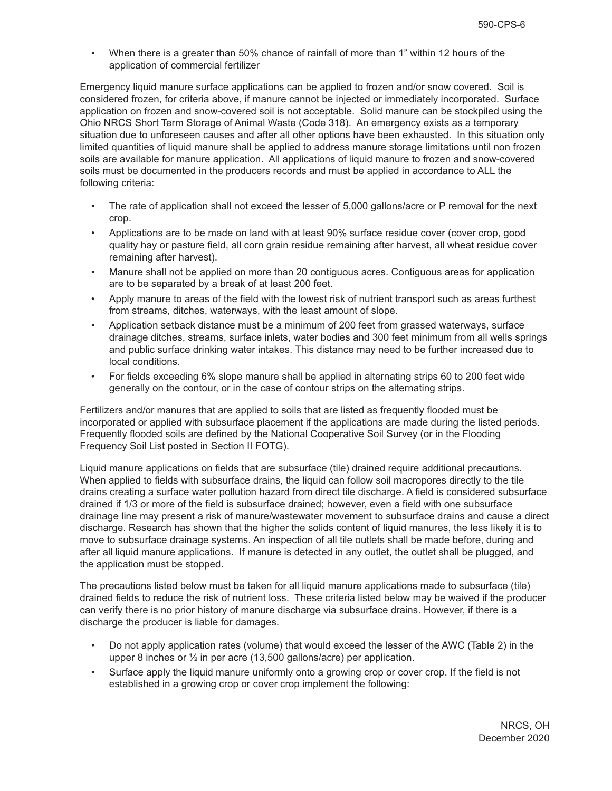• When there is a greater than 50% chance of rainfall of more than 1" within 12 hours of the application of commercial fertilizer

Emergency liquid manure surface applications can be applied to frozen and/or snow covered. Soil is considered frozen, for criteria above, if manure cannot be injected or immediately incorporated. Surface application on frozen and snow-covered soil is not acceptable. Solid manure can be stockpiled using the Ohio NRCS Short Term Storage of Animal Waste (Code 318). An emergency exists as a temporary situation due to unforeseen causes and after all other options have been exhausted. In this situation only limited quantities of liquid manure shall be applied to address manure storage limitations until non frozen soils are available for manure application. All applications of liquid manure to frozen and snow-covered soils must be documented in the producers records and must be applied in accordance to ALL the following criteria:

- The rate of application shall not exceed the lesser of 5,000 gallons/acre or P removal for the next crop.
- Applications are to be made on land with at least 90% surface residue cover (cover crop, good quality hay or pasture field, all corn grain residue remaining after harvest, all wheat residue cover remaining after harvest).
- Manure shall not be applied on more than 20 contiguous acres. Contiguous areas for application are to be separated by a break of at least 200 feet.
- Apply manure to areas of the field with the lowest risk of nutrient transport such as areas furthest from streams, ditches, waterways, with the least amount of slope.
- Application setback distance must be a minimum of 200 feet from grassed waterways, surface drainage ditches, streams, surface inlets, water bodies and 300 feet minimum from all wells springs and public surface drinking water intakes. This distance may need to be further increased due to local conditions.
- For fields exceeding 6% slope manure shall be applied in alternating strips 60 to 200 feet wide generally on the contour, or in the case of contour strips on the alternating strips.

Fertilizers and/or manures that are applied to soils that are listed as frequently flooded must be incorporated or applied with subsurface placement if the applications are made during the listed periods. Frequently flooded soils are defined by the National Cooperative Soil Survey (or in the Flooding Frequency Soil List posted in Section II FOTG).

Liquid manure applications on fields that are subsurface (tile) drained require additional precautions. When applied to fields with subsurface drains, the liquid can follow soil macropores directly to the tile drains creating a surface water pollution hazard from direct tile discharge. A field is considered subsurface drained if 1/3 or more of the field is subsurface drained; however, even a field with one subsurface drainage line may present a risk of manure/wastewater movement to subsurface drains and cause a direct discharge. Research has shown that the higher the solids content of liquid manures, the less likely it is to move to subsurface drainage systems. An inspection of all tile outlets shall be made before, during and after all liquid manure applications. If manure is detected in any outlet, the outlet shall be plugged, and the application must be stopped.

The precautions listed below must be taken for all liquid manure applications made to subsurface (tile) drained fields to reduce the risk of nutrient loss. These criteria listed below may be waived if the producer can verify there is no prior history of manure discharge via subsurface drains. However, if there is a discharge the producer is liable for damages.

- Do not apply application rates (volume) that would exceed the lesser of the AWC (Table 2) in the upper 8 inches or ½ in per acre (13,500 gallons/acre) per application.
- Surface apply the liquid manure uniformly onto a growing crop or cover crop. If the field is not established in a growing crop or cover crop implement the following: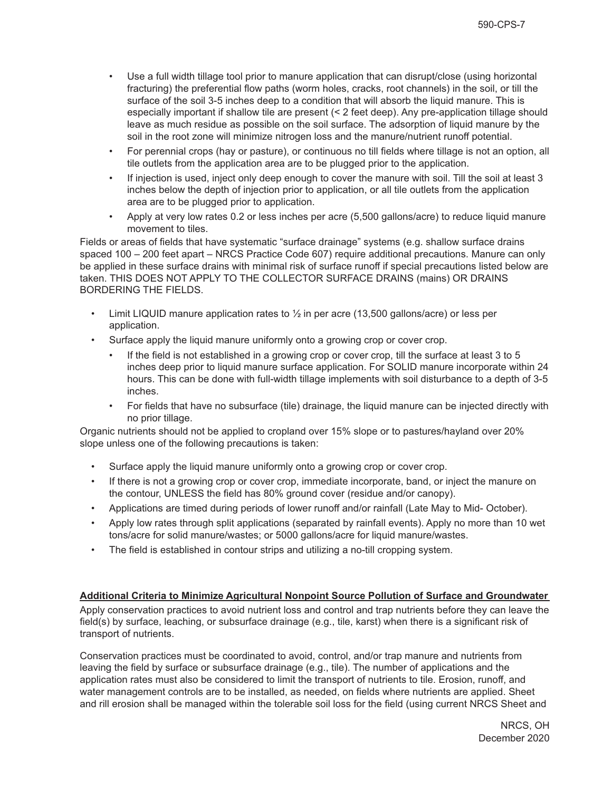- Use a full width tillage tool prior to manure application that can disrupt/close (using horizontal fracturing) the preferential flow paths (worm holes, cracks, root channels) in the soil, or till the surface of the soil 3-5 inches deep to a condition that will absorb the liquid manure. This is especially important if shallow tile are present (< 2 feet deep). Any pre-application tillage should leave as much residue as possible on the soil surface. The adsorption of liquid manure by the soil in the root zone will minimize nitrogen loss and the manure/nutrient runoff potential.
- For perennial crops (hay or pasture), or continuous no till fields where tillage is not an option, all tile outlets from the application area are to be plugged prior to the application.
- If injection is used, inject only deep enough to cover the manure with soil. Till the soil at least 3 inches below the depth of injection prior to application, or all tile outlets from the application area are to be plugged prior to application.
- Apply at very low rates 0.2 or less inches per acre (5,500 gallons/acre) to reduce liquid manure movement to tiles.

Fields or areas of fields that have systematic "surface drainage" systems (e.g. shallow surface drains spaced 100 – 200 feet apart – NRCS Practice Code 607) require additional precautions. Manure can only be applied in these surface drains with minimal risk of surface runoff if special precautions listed below are taken. THIS DOES NOT APPLY TO THE COLLECTOR SURFACE DRAINS (mains) OR DRAINS BORDERING THE FIELDS.

- Limit LIQUID manure application rates to  $\frac{1}{2}$  in per acre (13,500 gallons/acre) or less per application.
- Surface apply the liquid manure uniformly onto a growing crop or cover crop.
	- If the field is not established in a growing crop or cover crop, till the surface at least 3 to 5 inches deep prior to liquid manure surface application. For SOLID manure incorporate within 24 hours. This can be done with full-width tillage implements with soil disturbance to a depth of 3-5 inches.
	- For fields that have no subsurface (tile) drainage, the liquid manure can be injected directly with no prior tillage.

Organic nutrients should not be applied to cropland over 15% slope or to pastures/hayland over 20% slope unless one of the following precautions is taken:

- Surface apply the liquid manure uniformly onto a growing crop or cover crop.
- If there is not a growing crop or cover crop, immediate incorporate, band, or inject the manure on the contour, UNLESS the field has 80% ground cover (residue and/or canopy).
- Applications are timed during periods of lower runoff and/or rainfall (Late May to Mid- October).
- Apply low rates through split applications (separated by rainfall events). Apply no more than 10 wet tons/acre for solid manure/wastes; or 5000 gallons/acre for liquid manure/wastes.
- The field is established in contour strips and utilizing a no-till cropping system.

# **Additional Criteria to Minimize Agricultural Nonpoint Source Pollution of Surface and Groundwater**

Apply conservation practices to avoid nutrient loss and control and trap nutrients before they can leave the field(s) by surface, leaching, or subsurface drainage (e.g., tile, karst) when there is a significant risk of transport of nutrients.

Conservation practices must be coordinated to avoid, control, and/or trap manure and nutrients from leaving the field by surface or subsurface drainage (e.g., tile). The number of applications and the application rates must also be considered to limit the transport of nutrients to tile. Erosion, runoff, and water management controls are to be installed, as needed, on fields where nutrients are applied. Sheet and rill erosion shall be managed within the tolerable soil loss for the field (using current NRCS Sheet and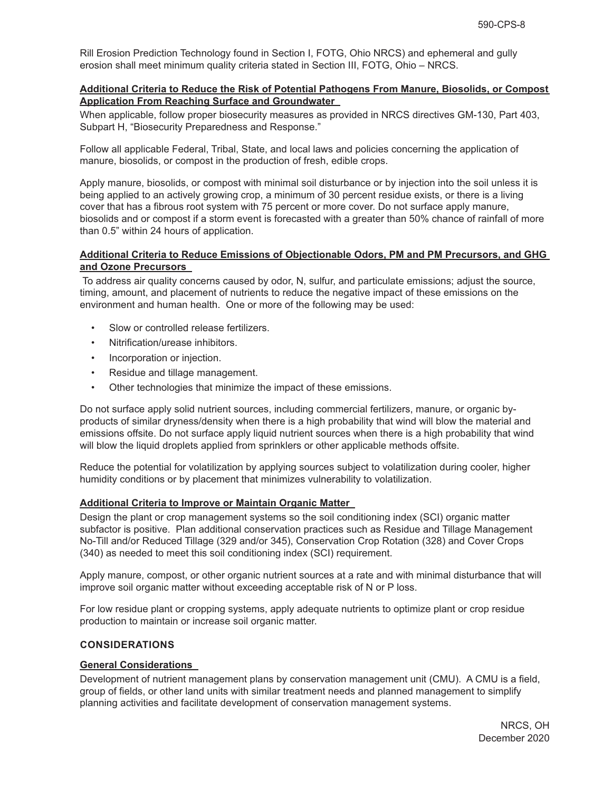Rill Erosion Prediction Technology found in Section I, FOTG, Ohio NRCS) and ephemeral and gully erosion shall meet minimum quality criteria stated in Section III, FOTG, Ohio – NRCS.

#### **Additional Criteria to Reduce the Risk of Potential Pathogens From Manure, Biosolids, or Compost Application From Reaching Surface and Groundwater**

When applicable, follow proper biosecurity measures as provided in NRCS directives GM-130, Part 403, Subpart H, "Biosecurity Preparedness and Response."

Follow all applicable Federal, Tribal, State, and local laws and policies concerning the application of manure, biosolids, or compost in the production of fresh, edible crops.

Apply manure, biosolids, or compost with minimal soil disturbance or by injection into the soil unless it is being applied to an actively growing crop, a minimum of 30 percent residue exists, or there is a living cover that has a fibrous root system with 75 percent or more cover. Do not surface apply manure, biosolids and or compost if a storm event is forecasted with a greater than 50% chance of rainfall of more than 0.5" within 24 hours of application.

#### **Additional Criteria to Reduce Emissions of Objectionable Odors, PM and PM Precursors, and GHG and Ozone Precursors**

 To address air quality concerns caused by odor, N, sulfur, and particulate emissions; adjust the source, timing, amount, and placement of nutrients to reduce the negative impact of these emissions on the environment and human health. One or more of the following may be used:

- Slow or controlled release fertilizers.
- Nitrification/urease inhibitors.
- Incorporation or injection.
- Residue and tillage management.
- Other technologies that minimize the impact of these emissions.

Do not surface apply solid nutrient sources, including commercial fertilizers, manure, or organic byproducts of similar dryness/density when there is a high probability that wind will blow the material and emissions offsite. Do not surface apply liquid nutrient sources when there is a high probability that wind will blow the liquid droplets applied from sprinklers or other applicable methods offsite.

Reduce the potential for volatilization by applying sources subject to volatilization during cooler, higher humidity conditions or by placement that minimizes vulnerability to volatilization.

#### **Additional Criteria to Improve or Maintain Organic Matter**

Design the plant or crop management systems so the soil conditioning index (SCI) organic matter subfactor is positive. Plan additional conservation practices such as Residue and Tillage Management No-Till and/or Reduced Tillage (329 and/or 345), Conservation Crop Rotation (328) and Cover Crops (340) as needed to meet this soil conditioning index (SCI) requirement.

Apply manure, compost, or other organic nutrient sources at a rate and with minimal disturbance that will improve soil organic matter without exceeding acceptable risk of N or P loss.

For low residue plant or cropping systems, apply adequate nutrients to optimize plant or crop residue production to maintain or increase soil organic matter.

# **CONSIDERATIONS**

#### **General Considerations**

Development of nutrient management plans by conservation management unit (CMU). A CMU is a field, group of fields, or other land units with similar treatment needs and planned management to simplify planning activities and facilitate development of conservation management systems.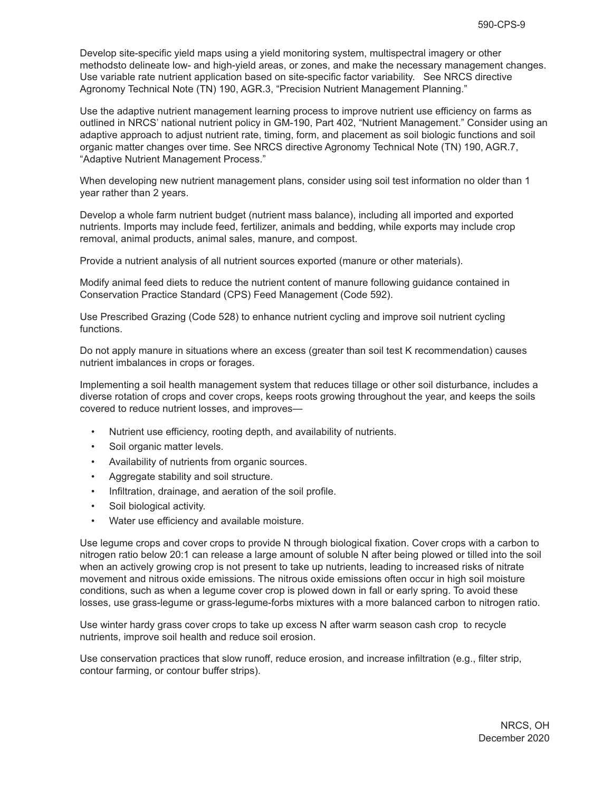Develop site-specific yield maps using a yield monitoring system, multispectral imagery or other methodsto delineate low- and high-yield areas, or zones, and make the necessary management changes. Use variable rate nutrient application based on site-specific factor variability. See NRCS directive Agronomy Technical Note (TN) 190, AGR.3, "Precision Nutrient Management Planning."

Use the adaptive nutrient management learning process to improve nutrient use efficiency on farms as outlined in NRCS' national nutrient policy in GM-190, Part 402, "Nutrient Management." Consider using an adaptive approach to adjust nutrient rate, timing, form, and placement as soil biologic functions and soil organic matter changes over time. See NRCS directive Agronomy Technical Note (TN) 190, AGR.7, "Adaptive Nutrient Management Process."

When developing new nutrient management plans, consider using soil test information no older than 1 year rather than 2 years.

Develop a whole farm nutrient budget (nutrient mass balance), including all imported and exported nutrients. Imports may include feed, fertilizer, animals and bedding, while exports may include crop removal, animal products, animal sales, manure, and compost.

Provide a nutrient analysis of all nutrient sources exported (manure or other materials).

Modify animal feed diets to reduce the nutrient content of manure following guidance contained in Conservation Practice Standard (CPS) Feed Management (Code 592).

Use Prescribed Grazing (Code 528) to enhance nutrient cycling and improve soil nutrient cycling functions.

Do not apply manure in situations where an excess (greater than soil test K recommendation) causes nutrient imbalances in crops or forages.

Implementing a soil health management system that reduces tillage or other soil disturbance, includes a diverse rotation of crops and cover crops, keeps roots growing throughout the year, and keeps the soils covered to reduce nutrient losses, and improves—

- Nutrient use efficiency, rooting depth, and availability of nutrients.
- Soil organic matter levels.
- Availability of nutrients from organic sources.
- Aggregate stability and soil structure.
- Infiltration, drainage, and aeration of the soil profile.
- Soil biological activity.
- Water use efficiency and available moisture.

Use legume crops and cover crops to provide N through biological fixation. Cover crops with a carbon to nitrogen ratio below 20:1 can release a large amount of soluble N after being plowed or tilled into the soil when an actively growing crop is not present to take up nutrients, leading to increased risks of nitrate movement and nitrous oxide emissions. The nitrous oxide emissions often occur in high soil moisture conditions, such as when a legume cover crop is plowed down in fall or early spring. To avoid these losses, use grass-legume or grass-legume-forbs mixtures with a more balanced carbon to nitrogen ratio.

Use winter hardy grass cover crops to take up excess N after warm season cash crop to recycle nutrients, improve soil health and reduce soil erosion.

Use conservation practices that slow runoff, reduce erosion, and increase infiltration (e.g., filter strip, contour farming, or contour buffer strips).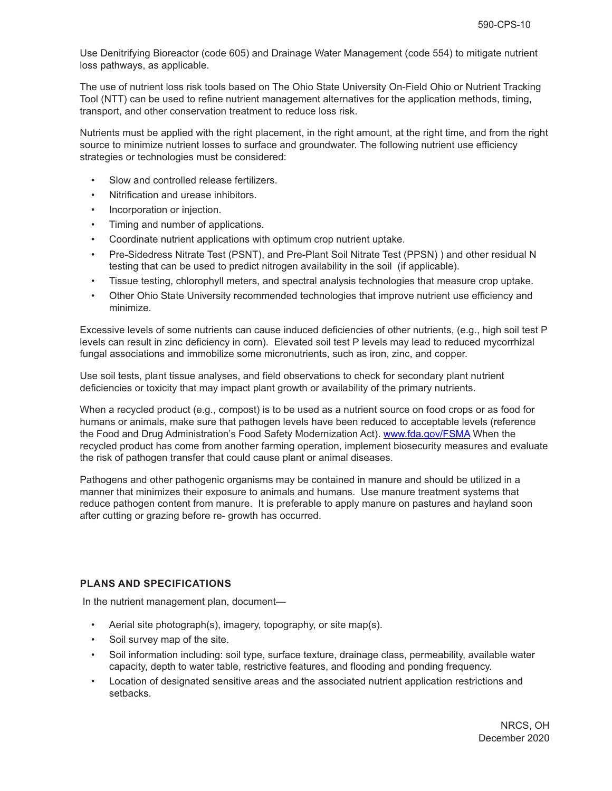Use Denitrifying Bioreactor (code 605) and Drainage Water Management (code 554) to mitigate nutrient loss pathways, as applicable.

The use of nutrient loss risk tools based on The Ohio State University On-Field Ohio or Nutrient Tracking Tool (NTT) can be used to refine nutrient management alternatives for the application methods, timing, transport, and other conservation treatment to reduce loss risk.

Nutrients must be applied with the right placement, in the right amount, at the right time, and from the right source to minimize nutrient losses to surface and groundwater. The following nutrient use efficiency strategies or technologies must be considered:

- Slow and controlled release fertilizers.
- Nitrification and urease inhibitors.
- Incorporation or injection.
- Timing and number of applications.
- Coordinate nutrient applications with optimum crop nutrient uptake.
- Pre-Sidedress Nitrate Test (PSNT), and Pre-Plant Soil Nitrate Test (PPSN) ) and other residual N testing that can be used to predict nitrogen availability in the soil (if applicable).
- Tissue testing, chlorophyll meters, and spectral analysis technologies that measure crop uptake.
- Other Ohio State University recommended technologies that improve nutrient use efficiency and minimize.

Excessive levels of some nutrients can cause induced deficiencies of other nutrients, (e.g., high soil test P levels can result in zinc deficiency in corn). Elevated soil test P levels may lead to reduced mycorrhizal fungal associations and immobilize some micronutrients, such as iron, zinc, and copper.

Use soil tests, plant tissue analyses, and field observations to check for secondary plant nutrient deficiencies or toxicity that may impact plant growth or availability of the primary nutrients.

When a recycled product (e.g., compost) is to be used as a nutrient source on food crops or as food for humans or animals, make sure that pathogen levels have been reduced to acceptable levels (reference the Food and Drug Administration's Food Safety Modernization Act). www.fda.gov/FSMA When the recycled product has come from another farming operation, implement biosecurity measures and evaluate the risk of pathogen transfer that could cause plant or animal diseases.

Pathogens and other pathogenic organisms may be contained in manure and should be utilized in a manner that minimizes their exposure to animals and humans. Use manure treatment systems that reduce pathogen content from manure. It is preferable to apply manure on pastures and hayland soon after cutting or grazing before re- growth has occurred.

# **PLANS AND SPECIFICATIONS**

In the nutrient management plan, document—

- Aerial site photograph(s), imagery, topography, or site map(s).
- Soil survey map of the site.
- Soil information including: soil type, surface texture, drainage class, permeability, available water capacity, depth to water table, restrictive features, and flooding and ponding frequency.
- Location of designated sensitive areas and the associated nutrient application restrictions and setbacks.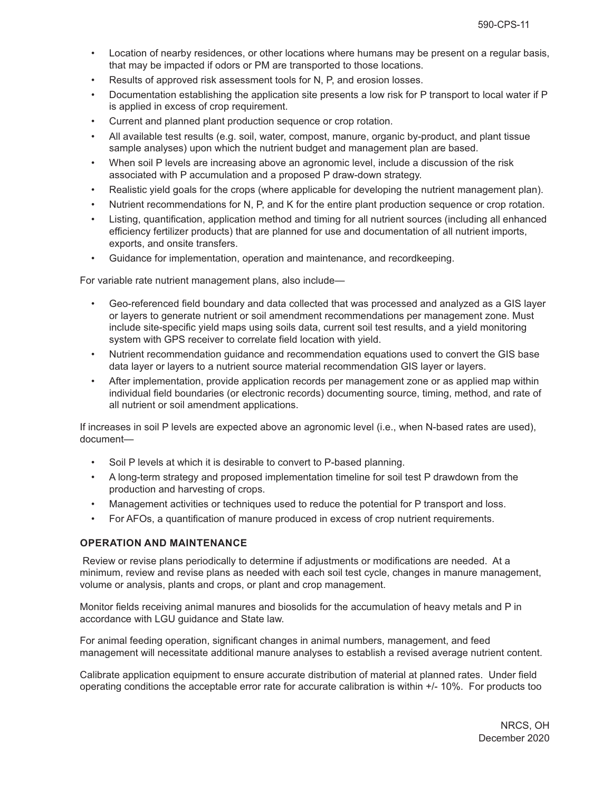- Location of nearby residences, or other locations where humans may be present on a regular basis, that may be impacted if odors or PM are transported to those locations.
- Results of approved risk assessment tools for N, P, and erosion losses.
- Documentation establishing the application site presents a low risk for P transport to local water if P is applied in excess of crop requirement.
- Current and planned plant production sequence or crop rotation.
- All available test results (e.g. soil, water, compost, manure, organic by-product, and plant tissue sample analyses) upon which the nutrient budget and management plan are based.
- When soil P levels are increasing above an agronomic level, include a discussion of the risk associated with P accumulation and a proposed P draw-down strategy.
- Realistic yield goals for the crops (where applicable for developing the nutrient management plan).
- Nutrient recommendations for N, P, and K for the entire plant production sequence or crop rotation.
- Listing, quantification, application method and timing for all nutrient sources (including all enhanced efficiency fertilizer products) that are planned for use and documentation of all nutrient imports, exports, and onsite transfers.
- Guidance for implementation, operation and maintenance, and recordkeeping.

For variable rate nutrient management plans, also include—

- Geo-referenced field boundary and data collected that was processed and analyzed as a GIS layer or layers to generate nutrient or soil amendment recommendations per management zone. Must include site-specific yield maps using soils data, current soil test results, and a yield monitoring system with GPS receiver to correlate field location with yield.
- Nutrient recommendation guidance and recommendation equations used to convert the GIS base data layer or layers to a nutrient source material recommendation GIS layer or layers.
- After implementation, provide application records per management zone or as applied map within individual field boundaries (or electronic records) documenting source, timing, method, and rate of all nutrient or soil amendment applications.

If increases in soil P levels are expected above an agronomic level (i.e., when N-based rates are used), document—

- Soil P levels at which it is desirable to convert to P-based planning.
- A long-term strategy and proposed implementation timeline for soil test P drawdown from the production and harvesting of crops.
- Management activities or techniques used to reduce the potential for P transport and loss.
- For AFOs, a quantification of manure produced in excess of crop nutrient requirements.

# **OPERATION AND MAINTENANCE**

 Review or revise plans periodically to determine if adjustments or modifications are needed. At a minimum, review and revise plans as needed with each soil test cycle, changes in manure management, volume or analysis, plants and crops, or plant and crop management.

Monitor fields receiving animal manures and biosolids for the accumulation of heavy metals and P in accordance with LGU guidance and State law.

For animal feeding operation, significant changes in animal numbers, management, and feed management will necessitate additional manure analyses to establish a revised average nutrient content.

Calibrate application equipment to ensure accurate distribution of material at planned rates. Under field operating conditions the acceptable error rate for accurate calibration is within +/- 10%. For products too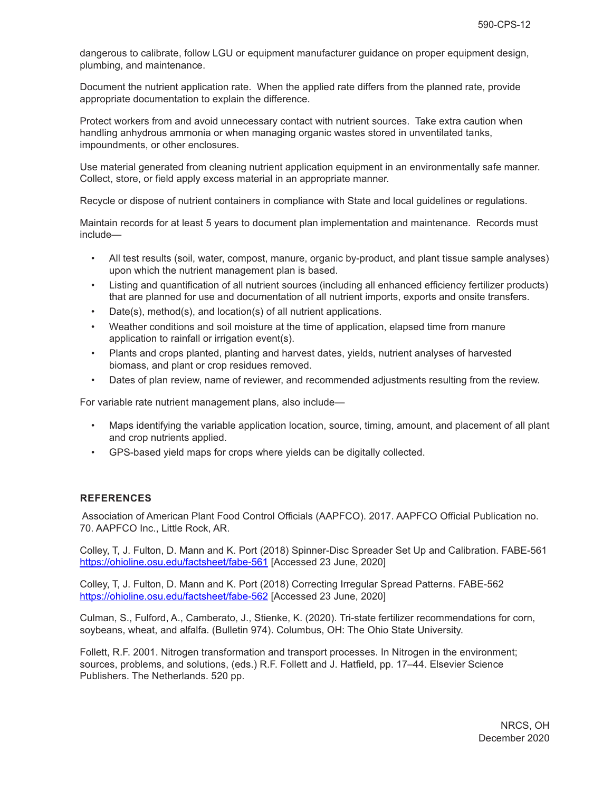dangerous to calibrate, follow LGU or equipment manufacturer guidance on proper equipment design, plumbing, and maintenance.

Document the nutrient application rate. When the applied rate differs from the planned rate, provide appropriate documentation to explain the difference.

Protect workers from and avoid unnecessary contact with nutrient sources. Take extra caution when handling anhydrous ammonia or when managing organic wastes stored in unventilated tanks, impoundments, or other enclosures.

Use material generated from cleaning nutrient application equipment in an environmentally safe manner. Collect, store, or field apply excess material in an appropriate manner.

Recycle or dispose of nutrient containers in compliance with State and local guidelines or regulations.

Maintain records for at least 5 years to document plan implementation and maintenance. Records must include—

- All test results (soil, water, compost, manure, organic by-product, and plant tissue sample analyses) upon which the nutrient management plan is based.
- Listing and quantification of all nutrient sources (including all enhanced efficiency fertilizer products) that are planned for use and documentation of all nutrient imports, exports and onsite transfers.
- Date(s), method(s), and location(s) of all nutrient applications.
- Weather conditions and soil moisture at the time of application, elapsed time from manure application to rainfall or irrigation event(s).
- Plants and crops planted, planting and harvest dates, yields, nutrient analyses of harvested biomass, and plant or crop residues removed.
- Dates of plan review, name of reviewer, and recommended adjustments resulting from the review.

For variable rate nutrient management plans, also include—

- Maps identifying the variable application location, source, timing, amount, and placement of all plant and crop nutrients applied.
- GPS-based yield maps for crops where yields can be digitally collected.

#### **REFERENCES**

 Association of American Plant Food Control Officials (AAPFCO). 2017. AAPFCO Official Publication no. 70. AAPFCO Inc., Little Rock, AR.

Colley, T, J. Fulton, D. Mann and K. Port (2018) Spinner-Disc Spreader Set Up and Calibration. FABE-561 https://ohioline.osu.edu/factsheet/fabe-561 [Accessed 23 June, 2020]

Colley, T, J. Fulton, D. Mann and K. Port (2018) Correcting Irregular Spread Patterns. FABE-562 https://ohioline.osu.edu/factsheet/fabe-562 [Accessed 23 June, 2020]

Culman, S., Fulford, A., Camberato, J., Stienke, K. (2020). Tri-state fertilizer recommendations for corn, soybeans, wheat, and alfalfa. (Bulletin 974). Columbus, OH: The Ohio State University.

Follett, R.F. 2001. Nitrogen transformation and transport processes. In Nitrogen in the environment; sources, problems, and solutions, (eds.) R.F. Follett and J. Hatfield, pp. 17–44. Elsevier Science Publishers. The Netherlands. 520 pp.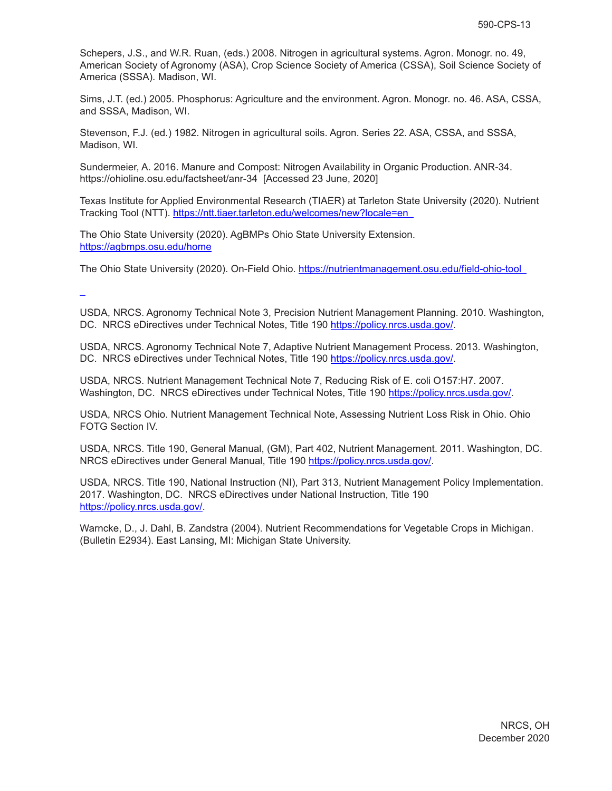Schepers, J.S., and W.R. Ruan, (eds.) 2008. Nitrogen in agricultural systems. Agron. Monogr. no. 49, American Society of Agronomy (ASA), Crop Science Society of America (CSSA), Soil Science Society of America (SSSA). Madison, WI.

Sims, J.T. (ed.) 2005. Phosphorus: Agriculture and the environment. Agron. Monogr. no. 46. ASA, CSSA, and SSSA, Madison, WI.

Stevenson, F.J. (ed.) 1982. Nitrogen in agricultural soils. Agron. Series 22. ASA, CSSA, and SSSA, Madison, WI.

Sundermeier, A. 2016. Manure and Compost: Nitrogen Availability in Organic Production. ANR-34. https://ohioline.osu.edu/factsheet/anr-34 [Accessed 23 June, 2020]

Texas Institute for Applied Environmental Research (TIAER) at Tarleton State University (2020). Nutrient Tracking Tool (NTT). https://ntt.tiaer.tarleton.edu/welcomes/new?locale=en

The Ohio State University (2020). AgBMPs Ohio State University Extension. https://agbmps.osu.edu/home

The Ohio State University (2020). On-Field Ohio. https://nutrientmanagement.osu.edu/field-ohio-tool

USDA, NRCS. Agronomy Technical Note 3, Precision Nutrient Management Planning. 2010. Washington, DC. NRCS eDirectives under Technical Notes, Title 190 https://policy.nrcs.usda.gov/.

USDA, NRCS. Agronomy Technical Note 7, Adaptive Nutrient Management Process. 2013. Washington, DC. NRCS eDirectives under Technical Notes, Title 190 https://policy.nrcs.usda.gov/.

USDA, NRCS. Nutrient Management Technical Note 7, Reducing Risk of E. coli O157:H7. 2007. Washington, DC. NRCS eDirectives under Technical Notes, Title 190 https://policy.nrcs.usda.gov/.

USDA, NRCS Ohio. Nutrient Management Technical Note, Assessing Nutrient Loss Risk in Ohio. Ohio FOTG Section IV.

USDA, NRCS. Title 190, General Manual, (GM), Part 402, Nutrient Management. 2011. Washington, DC. NRCS eDirectives under General Manual, Title 190 https://policy.nrcs.usda.gov/.

USDA, NRCS. Title 190, National Instruction (NI), Part 313, Nutrient Management Policy Implementation. 2017. Washington, DC. NRCS eDirectives under National Instruction, Title 190 https://policy.nrcs.usda.gov/.

Warncke, D., J. Dahl, B. Zandstra (2004). Nutrient Recommendations for Vegetable Crops in Michigan. (Bulletin E2934). East Lansing, MI: Michigan State University.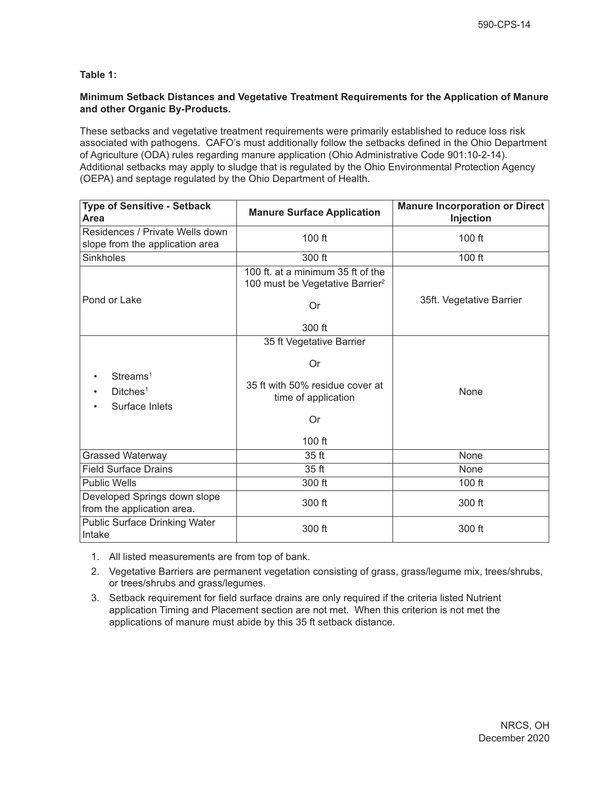# **Table 1:**

## **Minimum Setback Distances and Vegetative Treatment Requirements for the Application of Manure and other Organic By-Products.**

These setbacks and vegetative treatment requirements were primarily established to reduce loss risk associated with pathogens. CAFO's must additionally follow the setbacks defined in the Ohio Department of Agriculture (ODA) rules regarding manure application (Ohio Administrative Code 901:10-2-14). Additional setbacks may apply to sludge that is regulated by the Ohio Environmental Protection Agency (OEPA) and septage regulated by the Ohio Department of Health.

| <b>Type of Sensitive - Setback</b><br>Area                         | <b>Manure Surface Application</b>                                                | <b>Manure Incorporation or Direct</b><br>Injection |  |
|--------------------------------------------------------------------|----------------------------------------------------------------------------------|----------------------------------------------------|--|
| Residences / Private Wells down<br>slope from the application area | $100$ ft                                                                         | 100 ft                                             |  |
| Sinkholes                                                          | 300 ft                                                                           | 100 ft                                             |  |
|                                                                    | 100 ft. at a minimum 35 ft of the<br>100 must be Vegetative Barrier <sup>2</sup> |                                                    |  |
| Pond or Lake                                                       | Or                                                                               | 35ft. Vegetative Barrier                           |  |
|                                                                    | 300 ft                                                                           |                                                    |  |
| Streams <sup>1</sup><br>Ditches <sup>1</sup><br>Surface Inlets     | 35 ft Vegetative Barrier                                                         |                                                    |  |
|                                                                    | Or                                                                               |                                                    |  |
|                                                                    | 35 ft with 50% residue cover at<br>time of application                           | None                                               |  |
|                                                                    | Or                                                                               |                                                    |  |
|                                                                    | 100 ft                                                                           |                                                    |  |
| <b>Grassed Waterway</b>                                            | 35 <sub>ft</sub>                                                                 | None                                               |  |
| <b>Field Surface Drains</b>                                        | 35 ft                                                                            | None                                               |  |
| <b>Public Wells</b>                                                | 300 ft                                                                           | 100 ft                                             |  |
| Developed Springs down slope<br>from the application area.         | 300 ft                                                                           | 300 ft                                             |  |
| <b>Public Surface Drinking Water</b><br>Intake                     | 300 ft                                                                           | 300 ft                                             |  |

- 1. All listed measurements are from top of bank.
- 2. Vegetative Barriers are permanent vegetation consisting of grass, grass/legume mix, trees/shrubs, or trees/shrubs and grass/legumes.
- 3. Setback requirement for field surface drains are only required if the criteria listed Nutrient application Timing and Placement section are not met. When this criterion is not met the applications of manure must abide by this 35 ft setback distance.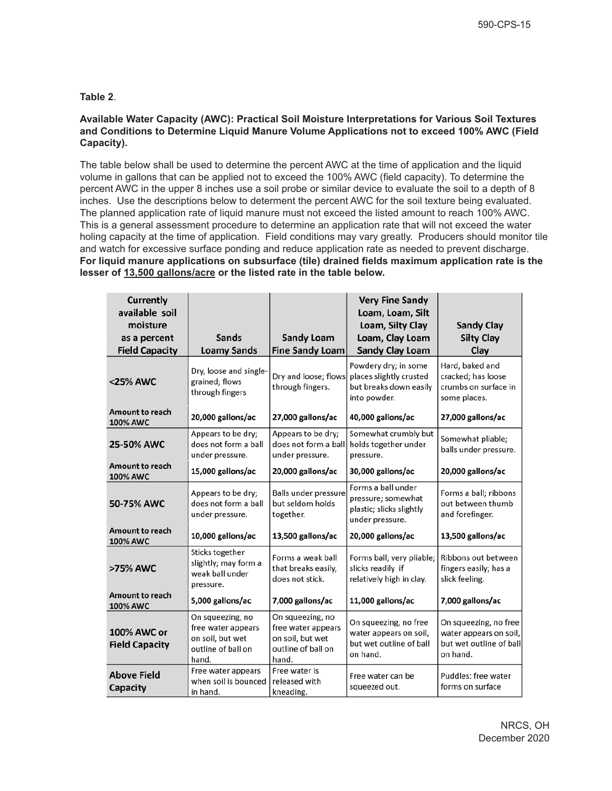# **Table 2**.

## **Available Water Capacity (AWC): Practical Soil Moisture Interpretations for Various Soil Textures and Conditions to Determine Liquid Manure Volume Applications not to exceed 100% AWC (Field Capacity).**

The table below shall be used to determine the percent AWC at the time of application and the liquid volume in gallons that can be applied not to exceed the 100% AWC (field capacity). To determine the percent AWC in the upper 8 inches use a soil probe or similar device to evaluate the soil to a depth of 8 inches. Use the descriptions below to determent the percent AWC for the soil texture being evaluated. The planned application rate of liquid manure must not exceed the listed amount to reach 100% AWC. This is a general assessment procedure to determine an application rate that will not exceed the water holing capacity at the time of application. Field conditions may vary greatly. Producers should monitor tile and watch for excessive surface ponding and reduce application rate as needed to prevent discharge. **For liquid manure applications on subsurface (tile) drained fields maximum application rate is the lesser of 13,500 gallons/acre or the listed rate in the table below.** 

| <b>Currently</b><br>available soil<br>moisture |                                                                                           |                                                                                           | <b>Very Fine Sandy</b><br>Loam, Loam, Silt<br>Loam, Silty Clay                            | <b>Sandy Clay</b>                                                                      |
|------------------------------------------------|-------------------------------------------------------------------------------------------|-------------------------------------------------------------------------------------------|-------------------------------------------------------------------------------------------|----------------------------------------------------------------------------------------|
| as a percent<br><b>Field Capacity</b>          | <b>Sands</b><br><b>Loamy Sands</b>                                                        | <b>Sandy Loam</b><br><b>Fine Sandy Loam</b>                                               | Loam, Clay Loam<br><b>Sandy Clay Loam</b>                                                 | <b>Silty Clay</b><br>Clay                                                              |
| <25% AWC                                       | Dry, loose and single-<br>grained; flows<br>through fingers                               | Dry and loose; flows<br>through fingers.                                                  | Powdery dry; in some<br>places slightly crusted<br>but breaks down easily<br>into powder. | Hard, baked and<br>cracked; has loose<br>crumbs on surface in<br>some places.          |
| <b>Amount to reach</b><br><b>100% AWC</b>      | 20,000 gallons/ac                                                                         | 27,000 gallons/ac                                                                         | 40,000 gallons/ac                                                                         | 27,000 gallons/ac                                                                      |
| <b>25-50% AWC</b>                              | Appears to be dry;<br>does not form a ball<br>under pressure.                             | Appears to be dry;<br>does not form a ball<br>under pressure.                             | Somewhat crumbly but<br>holds together under<br>pressure.                                 | Somewhat pliable;<br>balls under pressure.                                             |
| <b>Amount to reach</b><br>100% AWC             | 15,000 gallons/ac                                                                         | 20,000 gallons/ac                                                                         | 30,000 gallons/ac                                                                         | 20,000 gallons/ac                                                                      |
| 50-75% AWC                                     | Appears to be dry;<br>does not form a ball<br>under pressure.                             | Balls under pressure<br>but seldom holds<br>together.                                     | Forms a ball under<br>pressure; somewhat<br>plastic; slicks slightly<br>under pressure.   | Forms a ball; ribbons<br>out between thumb<br>and forefinger.                          |
| <b>Amount to reach</b><br><b>100% AWC</b>      | 10,000 gallons/ac                                                                         | 13,500 gallons/ac                                                                         | 20,000 gallons/ac                                                                         | 13,500 gallons/ac                                                                      |
| >75% AWC                                       | Sticks together<br>slightly; may form a<br>weak ball under<br>pressure.                   | Forms a weak ball<br>that breaks easily,<br>does not stick.                               | Forms ball; very pliable;<br>slicks readily if<br>relatively high in clay.                | Ribbons out between<br>fingers easily; has a<br>slick feeling.                         |
| <b>Amount to reach</b><br>100% AWC             | 5,000 gallons/ac                                                                          | 7,000 gallons/ac                                                                          | 11,000 gallons/ac                                                                         | 7,000 gallons/ac                                                                       |
| 100% AWC or<br><b>Field Capacity</b>           | On squeezing, no<br>free water appears<br>on soil, but wet<br>outline of ball on<br>hand. | On squeezing, no<br>free water appears<br>on soil, but wet<br>outline of ball on<br>hand. | On squeezing, no free<br>water appears on soil,<br>but wet outline of ball<br>on hand.    | On squeezing, no free<br>water appears on soil,<br>but wet outline of ball<br>on hand. |
| <b>Above Field</b><br>Capacity                 | Free water appears<br>when soil is bounced<br>in hand.                                    | Free water is<br>released with<br>kneading.                                               | Free water can be<br>squeezed out.                                                        | Puddles: free water<br>forms on surface                                                |